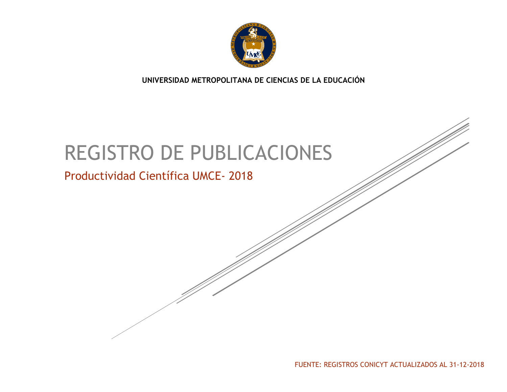

**UNIVERSIDAD METROPOLITANA DE CIENCIAS DE LA EDUCACIÓN**

# REGISTRO DE PUBLICACIONES

## Productividad Científica UMCE- 2018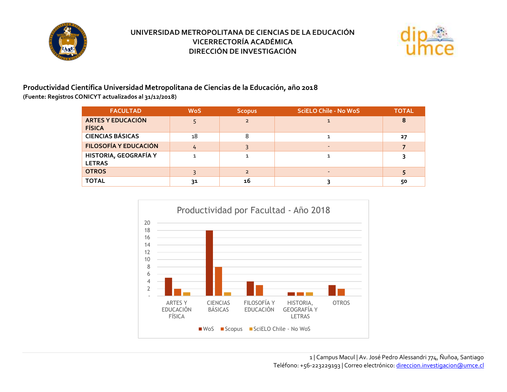



**Productividad Científica Universidad Metropolitana de Ciencias de la Educación, año 2018 (Fuente: Registros CONICYT actualizados al 31/12/2018)**

| <b>FACULTAD</b>                           | <b>WoS</b> | <b>Scopus</b>  | <b>SciELO Chile - No WoS</b> | <b>TOTAL</b> |
|-------------------------------------------|------------|----------------|------------------------------|--------------|
| <b>ARTES Y EDUCACIÓN</b><br><b>FÍSICA</b> |            | $\overline{2}$ |                              | 8            |
| <b>CIENCIAS BÁSICAS</b>                   | 18         |                |                              | 27           |
| <b>FILOSOFÍA Y EDUCACIÓN</b>              | 4          |                |                              |              |
| HISTORIA, GEOGRAFÍA Y<br><b>LETRAS</b>    |            |                |                              |              |
| <b>OTROS</b>                              |            |                |                              |              |
| <b>TOTAL</b>                              | 31         | 16             |                              | 50           |

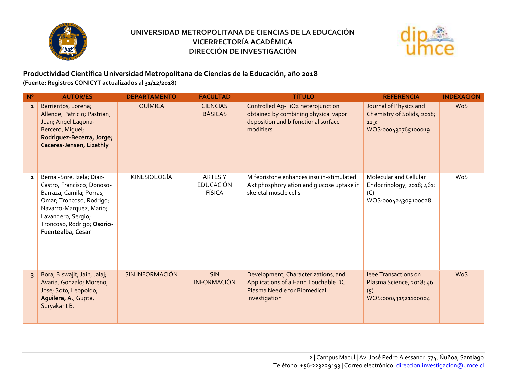



#### **Productividad Científica Universidad Metropolitana de Ciencias de la Educación, año 2018 (Fuente: Registros CONICYT actualizados al 31/12/2018)**

| $N^{\circ}$    | <b>AUTOR/ES</b>                                                                                                                                                                                                     | <b>DEPARTAMENTO</b>    | <b>FACULTAD</b>                                     | <b>TÍTULO</b>                                                                                                                 | <b>REFERENCIA</b>                                                                   | <b>INDEXACIÓN</b> |
|----------------|---------------------------------------------------------------------------------------------------------------------------------------------------------------------------------------------------------------------|------------------------|-----------------------------------------------------|-------------------------------------------------------------------------------------------------------------------------------|-------------------------------------------------------------------------------------|-------------------|
| $\mathbf{1}$   | Barrientos, Lorena;<br>Allende, Patricio, Pastrian,<br>Juan; Angel Laguna-<br>Bercero, Miguel;<br>Rodriguez-Becerra, Jorge;<br>Caceres-Jensen, Lizethly                                                             | QUÍMICA                | <b>CIENCIAS</b><br><b>BÁSICAS</b>                   | Controlled Ag-TiO2 heterojunction<br>obtained by combining physical vapor<br>deposition and bifunctional surface<br>modifiers | Journal of Physics and<br>Chemistry of Solids, 2018;<br>119:<br>WOS:000432765100019 | <b>WoS</b>        |
| $\overline{2}$ | Bernal-Sore, Izela; Diaz-<br>Castro, Francisco; Donoso-<br>Barraza, Camila; Porras,<br>Omar; Troncoso, Rodrigo;<br>Navarro-Marquez, Mario;<br>Lavandero, Sergio;<br>Troncoso, Rodrigo; Osorio-<br>Fuentealba, Cesar | KINESIOLOGÍA           | <b>ARTES Y</b><br><b>EDUCACIÓN</b><br><b>FÍSICA</b> | Mifepristone enhances insulin-stimulated<br>Akt phosphorylation and glucose uptake in<br>skeletal muscle cells                | Molecular and Cellular<br>Endocrinology, 2018; 461:<br>(C)<br>WOS:000424309100028   | <b>WoS</b>        |
| $\overline{3}$ | Bora, Biswajit; Jain, Jalaj;<br>Avaria, Gonzalo, Moreno,<br>Jose; Soto, Leopoldo;<br>Aguilera, A.; Gupta,<br>Suryakant B.                                                                                           | <b>SIN INFORMACIÓN</b> | <b>SIN</b><br><b>INFORMACIÓN</b>                    | Development, Characterizations, and<br>Applications of a Hand Touchable DC<br>Plasma Needle for Biomedical<br>Investigation   | leee Transactions on<br>Plasma Science, 2018; 46:<br>(5)<br>WOS:000431521100004     | <b>WoS</b>        |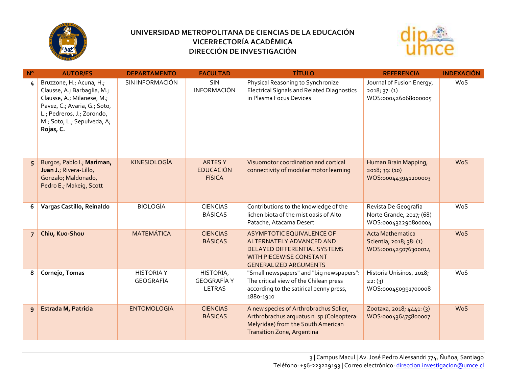



| $N^{\circ}$    | <b>AUTOR/ES</b>                                                                                                                                                                                 | <b>DEPARTAMENTO</b>            | <b>FACULTAD</b>                                    | <b>TÍTULO</b>                                                                                                                                                  | <b>REFERENCIA</b>                                                         | <b>INDEXACIÓN</b> |
|----------------|-------------------------------------------------------------------------------------------------------------------------------------------------------------------------------------------------|--------------------------------|----------------------------------------------------|----------------------------------------------------------------------------------------------------------------------------------------------------------------|---------------------------------------------------------------------------|-------------------|
| 4              | Bruzzone, H.; Acuna, H.;<br>Clausse, A.; Barbaglia, M.;<br>Clausse, A., Milanese, M.,<br>Pavez, C.; Avaria, G.; Soto,<br>L.; Pedreros, J.; Zorondo,<br>M.; Soto, L.; Sepulveda, A;<br>Rojas, C. | SIN INFORMACIÓN                | <b>SIN</b><br><b>INFORMACIÓN</b>                   | Physical Reasoning to Synchronize<br><b>Electrical Signals and Related Diagnostics</b><br>in Plasma Focus Devices                                              | Journal of Fusion Energy,<br>2018; 37: (1)<br>WOS:000426068000005         | WoS               |
| 5              | Burgos, Pablo I.; Mariman,<br>Juan J.; Rivera-Lillo,<br>Gonzalo; Maldonado,<br>Pedro E.; Makeig, Scott                                                                                          | <b>KINESIOLOGÍA</b>            | <b>ARTESY</b><br><b>EDUCACIÓN</b><br><b>FÍSICA</b> | Visuomotor coordination and cortical<br>connectivity of modular motor learning                                                                                 | Human Brain Mapping,<br>2018; 39: (10)<br>WOS:000443941200003             | <b>WoS</b>        |
| 6              | Vargas Castillo, Reinaldo                                                                                                                                                                       | <b>BIOLOGÍA</b>                | <b>CIENCIAS</b><br><b>BÁSICAS</b>                  | Contributions to the knowledge of the<br>lichen biota of the mist oasis of Alto<br>Patache, Atacama Desert                                                     | Revista De Geografia<br>Norte Grande, 2017; (68)<br>WOS:000432290800004   | WoS               |
| $\overline{7}$ | Chiu, Kuo-Shou                                                                                                                                                                                  | <b>MATEMÁTICA</b>              | <b>CIENCIAS</b><br><b>BÁSICAS</b>                  | ASYMPTOTIC EQUIVALENCE OF<br>ALTERNATELY ADVANCED AND<br>DELAYED DIFFERENTIAL SYSTEMS<br><b>WITH PIECEWISE CONSTANT</b><br><b>GENERALIZED ARGUMENTS</b>        | <b>Acta Mathematica</b><br>Scientia, 2018; 38: (1)<br>WOS:000425076300014 | <b>WoS</b>        |
| 8              | Cornejo, Tomas                                                                                                                                                                                  | <b>HISTORIA Y</b><br>GEOGRAFÍA | HISTORIA,<br><b>GEOGRAFÍA Y</b><br><b>LETRAS</b>   | "Small newspapers" and "big newspapers":<br>The critical view of the Chilean press<br>according to the satirical penny press,<br>1880-1910                     | Historia Unisinos, 2018;<br>22:(3)<br>WOS:000450991700008                 | <b>WoS</b>        |
| 9              | <b>Estrada M, Patricia</b>                                                                                                                                                                      | <b>ENTOMOLOGÍA</b>             | <b>CIENCIAS</b><br><b>BÁSICAS</b>                  | A new species of Arthrobrachus Solier,<br>Arthrobrachus arquatus n. sp (Coleoptera:<br>Melyridae) from the South American<br><b>Transition Zone, Argentina</b> | Zootaxa, 2018; 4441: (3)<br>WOS:000436475800007                           | <b>WoS</b>        |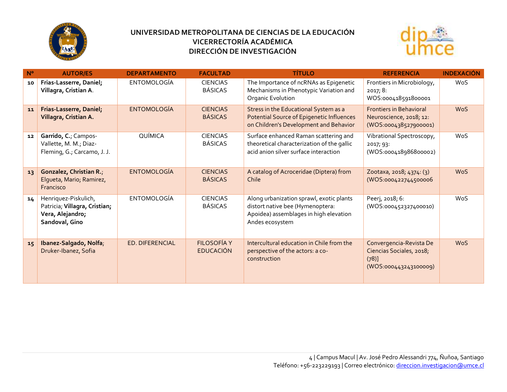



| $N^{\circ}$ | <b>AUTOR/ES</b>                                                                             | <b>DEPARTAMENTO</b>    | <b>FACULTAD</b>                        | <b>TÍTULO</b>                                                                                                                             | <b>REFERENCIA</b>                                                                        | <b>INDEXACIÓN</b> |
|-------------|---------------------------------------------------------------------------------------------|------------------------|----------------------------------------|-------------------------------------------------------------------------------------------------------------------------------------------|------------------------------------------------------------------------------------------|-------------------|
| 10          | Frias-Lasserre, Daniel;<br>Villagra, Cristian A.                                            | <b>ENTOMOLOGÍA</b>     | <b>CIENCIAS</b><br><b>BÁSICAS</b>      | The Importance of ncRNAs as Epigenetic<br>Mechanisms in Phenotypic Variation and<br>Organic Evolution                                     | Frontiers in Microbiology,<br>2017; 8:<br>WOS:000418591800001                            | WoS               |
| 11          | Frias-Lasserre, Daniel;<br>Villagra, Cristian A.                                            | <b>ENTOMOLOGÍA</b>     | <b>CIENCIAS</b><br><b>BÁSICAS</b>      | Stress in the Educational System as a<br>Potential Source of Epigenetic Influences<br>on Children's Development and Behavior              | <b>Frontiers in Behavioral</b><br>Neuroscience, 2018; 12:<br>(WOS:000438527900001)       | <b>WoS</b>        |
| 12          | Garrido, C.; Campos-<br>Vallette, M. M.; Diaz-<br>Fleming, G.; Carcamo, J. J.               | QUÍMICA                | <b>CIENCIAS</b><br><b>BÁSICAS</b>      | Surface enhanced Raman scattering and<br>theoretical characterization of the gallic<br>acid anion silver surface interaction              | Vibrational Spectroscopy,<br>2017; 93:<br>(WOS:000418986800002)                          | WoS               |
| 13          | Gonzalez, Christian R.;<br>Elgueta, Mario, Ramirez,<br>Francisco                            | <b>ENTOMOLOGÍA</b>     | <b>CIENCIAS</b><br><b>BÁSICAS</b>      | A catalog of Acroceridae (Diptera) from<br>Chile                                                                                          | Zootaxa, 2018; 4374: (3)<br>(WOS:000422744500006                                         | <b>WoS</b>        |
| 14          | Henriquez-Piskulich,<br>Patricia; Villagra, Cristian;<br>Vera, Alejandro;<br>Sandoval, Gino | <b>ENTOMOLOGÍA</b>     | <b>CIENCIAS</b><br><b>BÁSICAS</b>      | Along urbanization sprawl, exotic plants<br>distort native bee (Hymenoptera:<br>Apoidea) assemblages in high elevation<br>Andes ecosystem | Peerj, 2018; 6:<br>(WOS:000452327400010)                                                 | <b>WoS</b>        |
| 15          | Ibanez-Salgado, Nolfa;<br>Druker-Ibanez, Sofia                                              | <b>ED. DIFERENCIAL</b> | <b>FILOSOFÍA Y</b><br><b>EDUCACIÓN</b> | Intercultural education in Chile from the<br>perspective of the actors: a co-<br>construction                                             | Convergencia-Revista De<br>Ciencias Sociales, 2018;<br>$(78)$ ]<br>(WOS:000443243100009) | <b>WoS</b>        |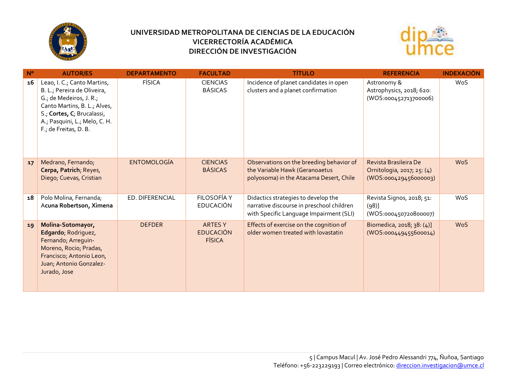



| N <sup>o</sup> | <b>AUTOR/ES</b>                                                                                                                                                                                               | <b>DEPARTAMENTO</b> | <b>FACULTAD</b>                                    | <b>TÍTULO</b>                                                                                                               | <b>REFERENCIA</b>                                                            | <b>INDEXACIÓN</b> |
|----------------|---------------------------------------------------------------------------------------------------------------------------------------------------------------------------------------------------------------|---------------------|----------------------------------------------------|-----------------------------------------------------------------------------------------------------------------------------|------------------------------------------------------------------------------|-------------------|
| 16             | Leao, I. C.; Canto Martins,<br>B. L.; Pereira de Oliveira,<br>G.; de Medeiros, J. R.;<br>Canto Martins, B. L.; Alves,<br>S., Cortes, C, Brucalassi,<br>A.; Pasquini, L.; Melo, C. H.<br>F.; de Freitas, D. B. | <b>FÍSICA</b>       | <b>CIENCIAS</b><br><b>BÁSICAS</b>                  | Incidence of planet candidates in open<br>clusters and a planet confirmation                                                | Astronomy &<br>Astrophysics, 2018; 620:<br>(WOS:000452713700006)             | WoS               |
| 17             | Medrano, Fernando;<br>Cerpa, Patrich; Reyes,<br>Diego; Cuevas, Cristian                                                                                                                                       | <b>ENTOMOLOGÍA</b>  | <b>CIENCIAS</b><br><b>BÁSICAS</b>                  | Observations on the breeding behavior of<br>the Variable Hawk (Geranoaetus<br>polyosoma) in the Atacama Desert, Chile       | Revista Brasileira De<br>Ornitologia, 2017, 25: (4)<br>(WOS:000429456000003) | <b>WoS</b>        |
| 18             | Polo Molina, Fernanda;<br>Acuna Robertson, Ximena                                                                                                                                                             | ED. DIFERENCIAL     | FILOSOFÍA Y<br><b>EDUCACIÓN</b>                    | Didactics strategies to develop the<br>narrative discourse in preschool children<br>with Specific Language Impairment (SLI) | Revista Signos, 2018; 51:<br>(98)<br>(WOS:000450720800007)                   | WoS               |
| 19             | Molina-Sotomayor,<br>Edgardo, Rodriguez,<br>Fernando; Arreguin-<br>Moreno, Rocio; Pradas,<br>Francisco; Antonio Leon,<br>Juan; Antonio Gonzalez-<br>Jurado, Jose                                              | <b>DEFDER</b>       | <b>ARTESY</b><br><b>EDUCACIÓN</b><br><b>FÍSICA</b> | Effects of exercise on the cognition of<br>older women treated with lovastatin                                              | Biomedica, 2018; 38: (4)]<br>(WOS:000449455600014)                           | <b>WoS</b>        |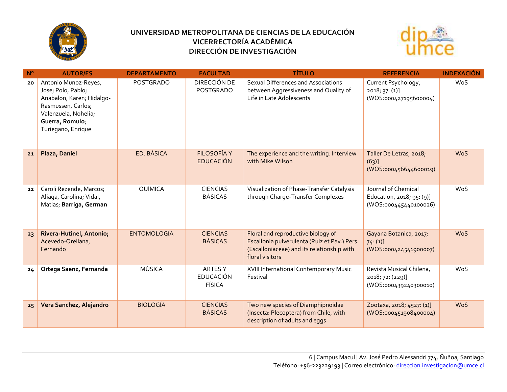



| $N^{\circ}$ | <b>AUTOR/ES</b>                                                                                                                                                | <b>DEPARTAMENTO</b> | <b>FACULTAD</b>                                    | <b>TÍTULO</b>                                                                                                                                       | <b>REFERENCIA</b>                                                         | <b>INDEXACIÓN</b> |
|-------------|----------------------------------------------------------------------------------------------------------------------------------------------------------------|---------------------|----------------------------------------------------|-----------------------------------------------------------------------------------------------------------------------------------------------------|---------------------------------------------------------------------------|-------------------|
| 20          | Antonio Munoz-Reyes,<br>Jose; Polo, Pablo;<br>Anabalon, Karen; Hidalgo-<br>Rasmussen, Carlos;<br>Valenzuela, Nohelia;<br>Guerra, Romulo;<br>Turiegano, Enrique | <b>POSTGRADO</b>    | DIRECCIÓN DE<br>POSTGRADO                          | Sexual Differences and Associations<br>between Aggressiveness and Quality of<br>Life in Late Adolescents                                            | Current Psychology,<br>2018; 37: (1)<br>(WOS:000427195600004)             | WoS               |
| 21          | Plaza, Daniel                                                                                                                                                  | ED. BÁSICA          | <b>FILOSOFÍA Y</b><br><b>EDUCACIÓN</b>             | The experience and the writing. Interview<br>with Mike Wilson                                                                                       | Taller De Letras, 2018;<br>(63)]<br>(WOS:000456644600019)                 | <b>WoS</b>        |
| 22          | Caroli Rezende, Marcos;<br>Aliaga, Carolina; Vidal,<br>Matias; Barriga, German                                                                                 | QUÍMICA             | <b>CIENCIAS</b><br><b>BÁSICAS</b>                  | Visualization of Phase-Transfer Catalysis<br>through Charge-Transfer Complexes                                                                      | Journal of Chemical<br>Education, 2018; 95: (9)]<br>(WOS:000445440100026) | WoS               |
| 23          | Rivera-Hutinel, Antonio;<br>Acevedo-Orellana,<br>Fernando                                                                                                      | <b>ENTOMOLOGÍA</b>  | <b>CIENCIAS</b><br><b>BÁSICAS</b>                  | Floral and reproductive biology of<br>Escallonia pulverulenta (Ruiz et Pav.) Pers.<br>(Escalloniaceae) and its relationship with<br>floral visitors | Gayana Botanica, 2017;<br>74:(1)]<br>(WOS:000424541900007)                | <b>WoS</b>        |
| 24          | Ortega Saenz, Fernanda                                                                                                                                         | <b>MÚSICA</b>       | <b>ARTESY</b><br><b>EDUCACIÓN</b><br><b>FÍSICA</b> | XVIII International Contemporary Music<br>Festival                                                                                                  | Revista Musical Chilena,<br>2018; 72: (229)]<br>(WOS:000439240300010)     | <b>WoS</b>        |
| 25          | Vera Sanchez, Alejandro                                                                                                                                        | <b>BIOLOGÍA</b>     | <b>CIENCIAS</b><br><b>BÁSICAS</b>                  | Two new species of Diamphipnoidae<br>(Insecta: Plecoptera) from Chile, with<br>description of adults and eggs                                       | Zootaxa, 2018; 4527: (1)]<br>(WOS:000451908400004)                        | <b>WoS</b>        |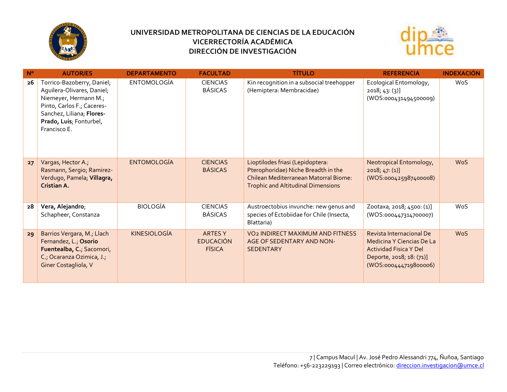



| N <sup>o</sup> | <b>AUTOR/ES</b>                                                                                                                                                                         | <b>DEPARTAMENTO</b> | <b>FACULTAD</b>                                     | <b>TÍTULO</b>                                                                                                                                                        | <b>REFERENCIA</b>                                                                                                                           | <b>INDEXACIÓN</b> |
|----------------|-----------------------------------------------------------------------------------------------------------------------------------------------------------------------------------------|---------------------|-----------------------------------------------------|----------------------------------------------------------------------------------------------------------------------------------------------------------------------|---------------------------------------------------------------------------------------------------------------------------------------------|-------------------|
| 26             | Torrico-Bazoberry, Daniel;<br>Aquilera-Olivares, Daniel;<br>Niemeyer, Hermann M.;<br>Pinto, Carlos F.; Caceres-<br>Sanchez, Liliana; Flores-<br>Prado, Luis; Fonturbel,<br>Francisco E. | <b>ENTOMOLOGÍA</b>  | <b>CIENCIAS</b><br><b>BÁSICAS</b>                   | Kin recognition in a subsocial treehopper<br>(Hemiptera: Membracidae)                                                                                                | Ecological Entomology,<br>2018, 43: (3)<br>(WOS:000431494500009)                                                                            | WoS               |
| 27             | Vargas, Hector A.;<br>Rasmann, Sergio; Ramirez-<br>Verdugo, Pamela; Villagra,<br>Cristian A.                                                                                            | <b>ENTOMOLOGÍA</b>  | <b>CIENCIAS</b><br><b>BÁSICAS</b>                   | Lioptilodes friasi (Lepidoptera:<br>Pterophoridae) Niche Breadth in the<br><b>Chilean Mediterranean Matorral Biome:</b><br><b>Trophic and Altitudinal Dimensions</b> | Neotropical Entomology,<br>2018; 47: (1)<br>(WOS:000425987400008)                                                                           | <b>WoS</b>        |
| 28             | Vera, Alejandro;<br>Schapheer, Constanza                                                                                                                                                | <b>BIOLOGÍA</b>     | <b>CIENCIAS</b><br><b>BÁSICAS</b>                   | Austroectobius invunche: new genus and<br>species of Ectobiidae for Chile (Insecta,<br>Blattaria)                                                                    | Zootaxa, 2018; 4500: (1)]<br>(WOS:000447314700007)                                                                                          | WoS               |
| 29             | Barrios Vergara, M.; Llach<br>Fernandez, L.; Osorio<br>Fuentealba, C.; Sacomori,<br>C., Ocaranza Ozimica, J.,<br>Giner Costagliola, V                                                   | <b>KINESIOLOGÍA</b> | <b>ARTES Y</b><br><b>EDUCACIÓN</b><br><b>FÍSICA</b> | <b>VO<sub>2</sub> INDIRECT MAXIMUM AND FITNESS</b><br>AGE OF SEDENTARY AND NON-<br><b>SEDENTARY</b>                                                                  | Revista Internacional De<br>Medicina Y Ciencias De La<br><b>Actividad Fisica Y Del</b><br>Deporte, 2018; 18: (71)]<br>(WOS:000444719800006) | <b>WoS</b>        |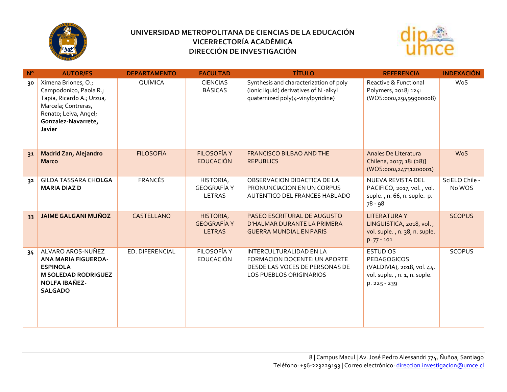



| $N^{\circ}$ | <b>AUTOR/ES</b>                                                                                                                                             | <b>DEPARTAMENTO</b> | <b>FACULTAD</b>                                  | <b>TÍTULO</b>                                                                                                                      | <b>REFERENCIA</b>                                                                                                   | <b>INDEXACIÓN</b>        |
|-------------|-------------------------------------------------------------------------------------------------------------------------------------------------------------|---------------------|--------------------------------------------------|------------------------------------------------------------------------------------------------------------------------------------|---------------------------------------------------------------------------------------------------------------------|--------------------------|
| 30          | Ximena Briones, O.;<br>Campodonico, Paola R.;<br>Tapia, Ricardo A.; Urzua,<br>Marcela; Contreras,<br>Renato; Leiva, Angel;<br>Gonzalez-Navarrete,<br>Javier | QUÍMICA             | <b>CIENCIAS</b><br><b>BÁSICAS</b>                | Synthesis and characterization of poly<br>(ionic liquid) derivatives of N-alkyl<br>quaternized poly(4-vinylpyridine)               | Reactive & Functional<br>Polymers, 2018; 124:<br>(WOS:000429499900008)                                              | <b>WoS</b>               |
| 31          | <b>Madrid Zan, Alejandro</b><br><b>Marco</b>                                                                                                                | <b>FILOSOFÍA</b>    | <b>FILOSOFÍA Y</b><br><b>EDUCACIÓN</b>           | FRANCISCO BILBAO AND THE<br><b>REPUBLICS</b>                                                                                       | Anales De Literatura<br>Chilena, 2017; 18: (28)]<br>(WOS:000424731200001)                                           | <b>WoS</b>               |
| 32          | GILDA TASSARA CHOLGA<br><b>MARIA DIAZ D</b>                                                                                                                 | <b>FRANCÉS</b>      | HISTORIA,<br><b>GEOGRAFÍA Y</b><br><b>LETRAS</b> | OBSERVACION DIDACTICA DE LA<br>PRONUNCIACION EN UN CORPUS<br>AUTENTICO DEL FRANCES HABLADO                                         | NUEVA REVISTA DEL<br>PACIFICO, 2017, vol., vol.<br>suple., n. 66, n. suple. p.<br>78 - 98                           | SciELO Chile -<br>No WOS |
| 33          | <b>JAIME GALGANI MUÑOZ</b>                                                                                                                                  | CASTELLANO          | HISTORIA,<br><b>GEOGRAFÍA Y</b><br><b>LETRAS</b> | PASEO ESCRITURAL DE AUGUSTO<br>D'HALMAR DURANTE LA PRIMERA<br><b>GUERRA MUNDIAL EN PARIS</b>                                       | <b>LITERATURAY</b><br>LINGUISTICA, 2018, vol.,<br>vol. suple., n. 38, n. suple.<br>$p.77 - 101$                     | <b>SCOPUS</b>            |
| 34          | ALVARO AROS-NUÑEZ<br><b>ANA MARIA FIGUEROA-</b><br><b>ESPINOLA</b><br><b>M SOLEDAD RODRIGUEZ</b><br><b>NOLFA IBAÑEZ-</b><br><b>SALGADO</b>                  | ED. DIFERENCIAL     | <b>FILOSOFÍA Y</b><br><b>EDUCACIÓN</b>           | <b>INTERCULTURALIDAD EN LA</b><br>FORMACION DOCENTE: UN APORTE<br>DESDE LAS VOCES DE PERSONAS DE<br><b>LOS PUEBLOS ORIGINARIOS</b> | <b>ESTUDIOS</b><br><b>PEDAGOGICOS</b><br>(VALDIVIA), 2018, vol. 44,<br>vol. suple., n. 1, n. suple.<br>p. 225 - 239 | <b>SCOPUS</b>            |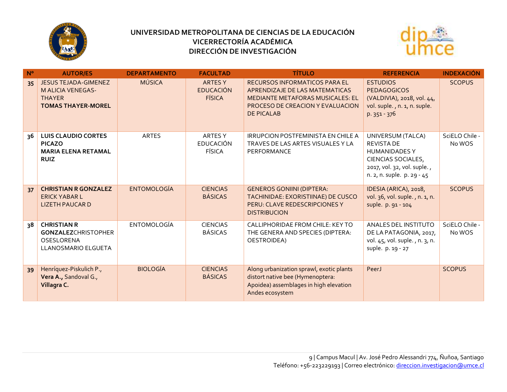



| $N^{\circ}$ | <b>AUTOR/ES</b>                                                                                       | <b>DEPARTAMENTO</b> | <b>FACULTAD</b>                                     | <b>TÍTULO</b>                                                                                                                                                              | <b>REFERENCIA</b>                                                                                                                                 | <b>INDEXACIÓN</b>        |
|-------------|-------------------------------------------------------------------------------------------------------|---------------------|-----------------------------------------------------|----------------------------------------------------------------------------------------------------------------------------------------------------------------------------|---------------------------------------------------------------------------------------------------------------------------------------------------|--------------------------|
| 35          | <b>JESUS TEJADA-GIMENEZ</b><br><b>M ALICIA VENEGAS-</b><br><b>THAYER</b><br><b>TOMAS THAYER-MOREL</b> | <b>MÚSICA</b>       | <b>ARTES Y</b><br><b>EDUCACIÓN</b><br><b>FÍSICA</b> | <b>RECURSOS INFORMATICOS PARA EL</b><br>APRENDIZAJE DE LAS MATEMATICAS<br><b>MEDIANTE METAFORAS MUSICALES: EL</b><br>PROCESO DE CREACION Y EVALUACION<br><b>DE PICALAB</b> | <b>ESTUDIOS</b><br><b>PEDAGOGICOS</b><br>(VALDIVIA), 2018, vol. 44,<br>vol. suple., n. 1, n. suple.<br>p. 351 - 376                               | <b>SCOPUS</b>            |
| 36          | <b>LUIS CLAUDIO CORTES</b><br><b>PICAZO</b><br><b>MARIA ELENA RETAMAL</b><br><b>RUIZ</b>              | <b>ARTES</b>        | <b>ARTESY</b><br><b>EDUCACIÓN</b><br><b>FÍSICA</b>  | <b>IRRUPCION POSTFEMINISTA EN CHILE A</b><br>TRAVES DE LAS ARTES VISUALES Y LA<br>PERFORMANCE                                                                              | UNIVERSUM (TALCA)<br><b>REVISTA DE</b><br><b>HUMANIDADES Y</b><br>CIENCIAS SOCIALES,<br>2017, vol. 32, vol. suple.,<br>n. 2, n. suple. p. 29 - 45 | SciELO Chile -<br>No WOS |
| 37          | <b>CHRISTIAN R GONZALEZ</b><br><b>ERICK YABAR L</b><br><b>LIZETH PAUCAR D</b>                         | <b>ENTOMOLOGÍA</b>  | <b>CIENCIAS</b><br><b>BÁSICAS</b>                   | <b>GENEROS GONIINI (DIPTERA:</b><br>TACHINIDAE: EXORISTIINAE) DE CUSCO<br>PERU: CLAVE REDESCRIPCIONES Y<br><b>DISTRIBUCION</b>                                             | IDESIA (ARICA), 2018,<br>vol. 36, vol. suple., n. 1, n.<br>suple. p. 91 - 104                                                                     | <b>SCOPUS</b>            |
| 38          | <b>CHRISTIAN R</b><br><b>GONZALEZCHRISTOPHER</b><br>OSESLORENA<br>LLANOSMARIO ELGUETA                 | <b>ENTOMOLOGÍA</b>  | <b>CIENCIAS</b><br><b>BÁSICAS</b>                   | CALLIPHORIDAE FROM CHILE: KEY TO<br>THE GENERA AND SPECIES (DIPTERA:<br>OESTROIDEA)                                                                                        | ANALES DEL INSTITUTO<br>DE LA PATAGONIA, 2017,<br>vol. 45, vol. suple., n. 3, n.<br>suple. p. 19 - 27                                             | SciELO Chile -<br>No WOS |
| 39          | Henríquez-Piskulich P.,<br>Vera A., Sandoval G.,<br>Villagra C.                                       | <b>BIOLOGÍA</b>     | <b>CIENCIAS</b><br><b>BÁSICAS</b>                   | Along urbanization sprawl, exotic plants<br>distort native bee (Hymenoptera:<br>Apoidea) assemblages in high elevation<br>Andes ecosystem                                  | PeerJ                                                                                                                                             | <b>SCOPUS</b>            |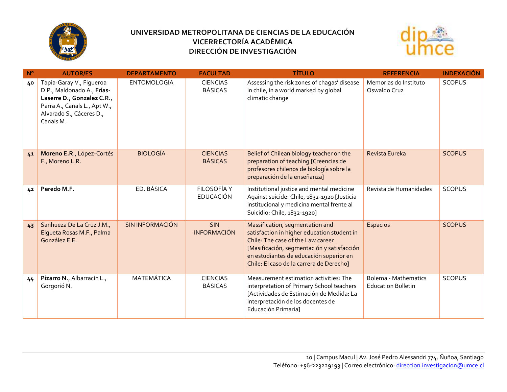



| $N^{\circ}$ | <b>AUTOR/ES</b>                                                                                                                                               | <b>DEPARTAMENTO</b>    | <b>FACULTAD</b>                   | <b>TÍTULO</b>                                                                                                                                                                                                                                            | <b>REFERENCIA</b>                                        | <b>INDEXACIÓN</b> |
|-------------|---------------------------------------------------------------------------------------------------------------------------------------------------------------|------------------------|-----------------------------------|----------------------------------------------------------------------------------------------------------------------------------------------------------------------------------------------------------------------------------------------------------|----------------------------------------------------------|-------------------|
| 40          | Tapia-Garay V., Figueroa<br>D.P., Maldonado A., Frías-<br>Laserre D., Gonzalez C.R.,<br>Parra A., Canals L., Apt W.,<br>Alvarado S., Cáceres D.,<br>Canals M. | <b>ENTOMOLOGÍA</b>     | <b>CIENCIAS</b><br><b>BÁSICAS</b> | Assessing the risk zones of chagas' disease<br>in chile, in a world marked by global<br>climatic change                                                                                                                                                  | Memorias do Instituto<br>Oswaldo Cruz                    | <b>SCOPUS</b>     |
| 41          | Moreno E.R., López-Cortés<br>F., Moreno L.R.                                                                                                                  | <b>BIOLOGÍA</b>        | <b>CIENCIAS</b><br><b>BÁSICAS</b> | Belief of Chilean biology teacher on the<br>preparation of teaching [Creencias de<br>profesores chilenos de biología sobre la<br>preparación de la enseñanza]                                                                                            | Revista Eureka                                           | <b>SCOPUS</b>     |
| 42          | Peredo M.F.                                                                                                                                                   | ED. BÁSICA             | FILOSOFÍA Y<br><b>EDUCACIÓN</b>   | Institutional justice and mental medicine<br>Against suicide: Chile, 1832-1920 [Justicia<br>institucional y medicina mental frente al<br>Suicidio: Chile, 1832-1920]                                                                                     | Revista de Humanidades                                   | <b>SCOPUS</b>     |
| 43          | Sanhueza De La Cruz J.M.,<br>Elqueta Rosas M.F., Palma<br>González E.E.                                                                                       | <b>SIN INFORMACIÓN</b> | <b>SIN</b><br><b>INFORMACIÓN</b>  | Massification, segmentation and<br>satisfaction in higher education student in<br>Chile: The case of the Law career<br>[Masificación, segmentación y satisfacción<br>en estudiantes de educación superior en<br>Chile: El caso de la carrera de Derecho] | <b>Espacios</b>                                          | <b>SCOPUS</b>     |
| 44          | Pizarro N., Albarracín L.,<br>Gorgorió N.                                                                                                                     | <b>MATEMÁTICA</b>      | <b>CIENCIAS</b><br><b>BÁSICAS</b> | Measurement estimation activities: The<br>interpretation of Primary School teachers<br>[Actividades de Estimación de Medida: La<br>interpretación de los docentes de<br>Educación Primaria]                                                              | <b>Bolema - Mathematics</b><br><b>Education Bulletin</b> | <b>SCOPUS</b>     |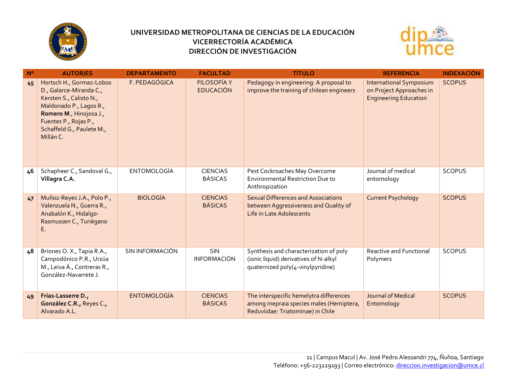



| $N^{\circ}$ | <b>AUTOR/ES</b>                                                                                                                                                                                         | <b>DEPARTAMENTO</b> | <b>FACULTAD</b>                        | <b>TÍTULO</b>                                                                                                           | <b>REFERENCIA</b>                                                                          | <b>INDEXACIÓN</b> |
|-------------|---------------------------------------------------------------------------------------------------------------------------------------------------------------------------------------------------------|---------------------|----------------------------------------|-------------------------------------------------------------------------------------------------------------------------|--------------------------------------------------------------------------------------------|-------------------|
| 45          | Hortsch H., Gormaz-Lobos<br>D., Galarce-Miranda C.,<br>Kersten S., Calisto N.,<br>Maldonado P., Lagos R.,<br>Romero M., Hinojosa J.,<br>Fuentes P., Rojas P.,<br>Schaffeld G., Paulete M.,<br>Millán C. | F. PEDAGÓGICA       | <b>FILOSOFÍA Y</b><br><b>EDUCACIÓN</b> | Pedagogy in engineering: A proposal to<br>improve the training of chilean engineers                                     | <b>International Symposium</b><br>on Project Approaches in<br><b>Engineering Education</b> | <b>SCOPUS</b>     |
| 46          | Schapheer C., Sandoval G.,<br>Villagra C.A.                                                                                                                                                             | <b>ENTOMOLOGÍA</b>  | <b>CIENCIAS</b><br><b>BÁSICAS</b>      | Pest Cockroaches May Overcome<br><b>Environmental Restriction Due to</b><br>Anthropization                              | Journal of medical<br>entomology                                                           | <b>SCOPUS</b>     |
| 47          | Muñoz-Reyes J.A., Polo P.,<br>Valenzuela N., Guerra R.,<br>Anabalón K., Hidalgo-<br>Rasmussen C., Turiégano<br>Ε.                                                                                       | <b>BIOLOGÍA</b>     | <b>CIENCIAS</b><br><b>BÁSICAS</b>      | <b>Sexual Differences and Associations</b><br>between Aggressiveness and Quality of<br>Life in Late Adolescents         | <b>Current Psychology</b>                                                                  | <b>SCOPUS</b>     |
| 48          | Briones O. X., Tapia R.A.,<br>Campodónico P.R., Urzúa<br>M., Leiva Á., Contreras R.,<br>González-Navarrete J.                                                                                           | SIN INFORMACIÓN     | SIN<br><b>INFORMACIÓN</b>              | Synthesis and characterization of poly<br>(ionic liquid) derivatives of N-alkyl<br>quaternized poly(4-vinylpyridine)    | Reactive and Functional<br>Polymers                                                        | <b>SCOPUS</b>     |
| 49          | Frías-Lasserre D.,<br>González C.R., Reyes C.,<br>Alvarado A.L.                                                                                                                                         | <b>ENTOMOLOGÍA</b>  | <b>CIENCIAS</b><br><b>BÁSICAS</b>      | The interspecific hemelytra differences<br>among mepraia species males (Hemiptera,<br>Reduviidae: Triatominae) in Chile | <b>Journal of Medical</b><br>Entomology                                                    | <b>SCOPUS</b>     |